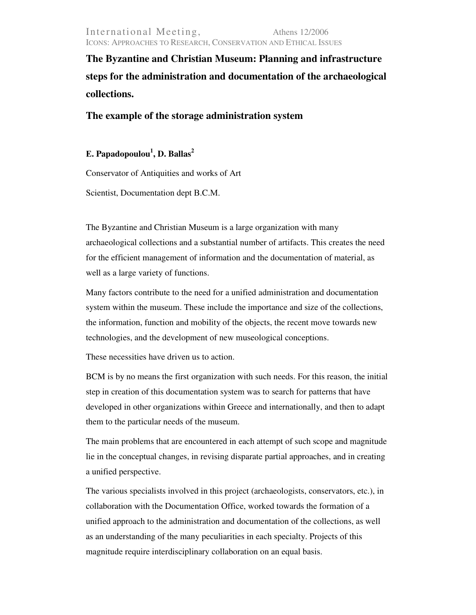**The Byzantine and Christian Museum: Planning and infrastructure steps for the administration and documentation of the archaeological collections.** 

**The example of the storage administration system** 

Ε**. Papadopoulou<sup>1</sup> , D. Ballas<sup>2</sup>**

Conservator of Antiquities and works of Art

Scientist, Documentation dept Β.C.Μ.

The Byzantine and Christian Museum is a large organization with many archaeological collections and a substantial number of artifacts. This creates the need for the efficient management of information and the documentation of material, as well as a large variety of functions.

Many factors contribute to the need for a unified administration and documentation system within the museum. These include the importance and size of the collections, the information, function and mobility of the objects, the recent move towards new technologies, and the development of new museological conceptions.

These necessities have driven us to action.

BCM is by no means the first organization with such needs. For this reason, the initial step in creation of this documentation system was to search for patterns that have developed in other organizations within Greece and internationally, and then to adapt them to the particular needs of the museum.

The main problems that are encountered in each attempt of such scope and magnitude lie in the conceptual changes, in revising disparate partial approaches, and in creating a unified perspective.

The various specialists involved in this project (archaeologists, conservators, etc.), in collaboration with the Documentation Office, worked towards the formation of a unified approach to the administration and documentation of the collections, as well as an understanding of the many peculiarities in each specialty. Projects of this magnitude require interdisciplinary collaboration on an equal basis.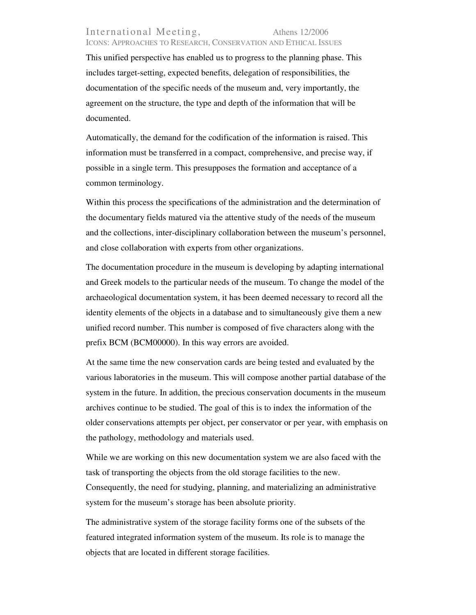## International Meeting, Athens 12/2006 ICONS: APPROACHES TO RESEARCH, CONSERVATION AND ETHICAL ISSUES

This unified perspective has enabled us to progress to the planning phase. This includes target-setting, expected benefits, delegation of responsibilities, the documentation of the specific needs of the museum and, very importantly, the agreement on the structure, the type and depth of the information that will be documented.

Automatically, the demand for the codification of the information is raised. This information must be transferred in a compact, comprehensive, and precise way, if possible in a single term. This presupposes the formation and acceptance of a common terminology.

Within this process the specifications of the administration and the determination of the documentary fields matured via the attentive study of the needs of the museum and the collections, inter-disciplinary collaboration between the museum's personnel, and close collaboration with experts from other organizations.

The documentation procedure in the museum is developing by adapting international and Greek models to the particular needs of the museum. To change the model of the archaeological documentation system, it has been deemed necessary to record all the identity elements of the objects in a database and to simultaneously give them a new unified record number. This number is composed of five characters along with the prefix BCM (BCM00000). In this way errors are avoided.

At the same time the new conservation cards are being tested and evaluated by the various laboratories in the museum. This will compose another partial database of the system in the future. In addition, the precious conservation documents in the museum archives continue to be studied. The goal of this is to index the information of the older conservations attempts per object, per conservator or per year, with emphasis on the pathology, methodology and materials used.

While we are working on this new documentation system we are also faced with the task of transporting the objects from the old storage facilities to the new. Consequently, the need for studying, planning, and materializing an administrative system for the museum's storage has been absolute priority.

The administrative system of the storage facility forms one of the subsets of the featured integrated information system of the museum. Its role is to manage the objects that are located in different storage facilities.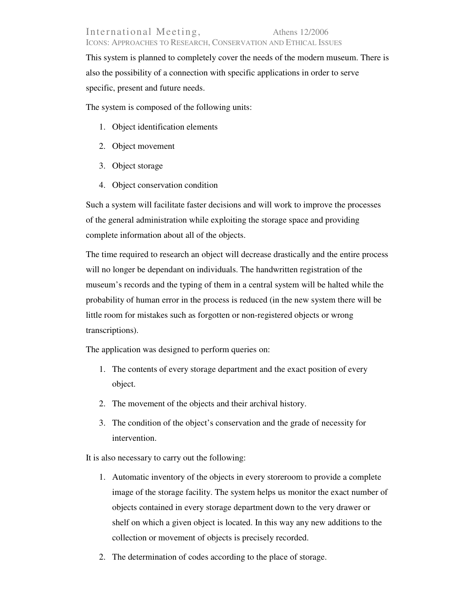This system is planned to completely cover the needs of the modern museum. There is also the possibility of a connection with specific applications in order to serve specific, present and future needs.

The system is composed of the following units:

- 1. Object identification elements
- 2. Object movement
- 3. Object storage
- 4. Object conservation condition

Such a system will facilitate faster decisions and will work to improve the processes of the general administration while exploiting the storage space and providing complete information about all of the objects.

The time required to research an object will decrease drastically and the entire process will no longer be dependant on individuals. The handwritten registration of the museum's records and the typing of them in a central system will be halted while the probability of human error in the process is reduced (in the new system there will be little room for mistakes such as forgotten or non-registered objects or wrong transcriptions).

The application was designed to perform queries on:

- 1. The contents of every storage department and the exact position of every object.
- 2. The movement of the objects and their archival history.
- 3. The condition of the object's conservation and the grade of necessity for intervention.

It is also necessary to carry out the following:

- 1. Automatic inventory of the objects in every storeroom to provide a complete image of the storage facility. The system helps us monitor the exact number of objects contained in every storage department down to the very drawer or shelf on which a given object is located. In this way any new additions to the collection or movement of objects is precisely recorded.
- 2. The determination of codes according to the place of storage.